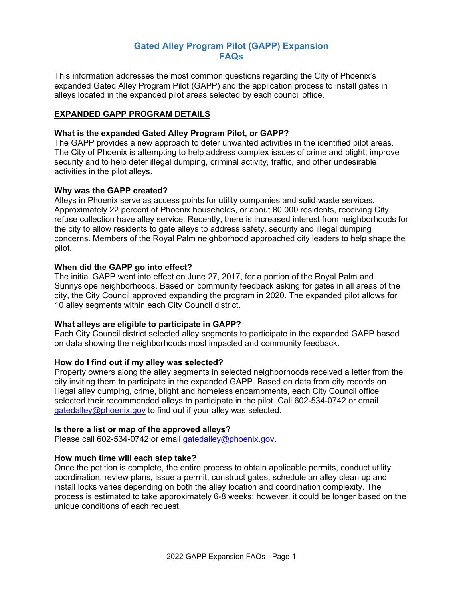# **Gated Alley Program Pilot (GAPP) Expansion FAQs**

This information addresses the most common questions regarding the City of Phoenix's expanded Gated Alley Program Pilot (GAPP) and the application process to install gates in alleys located in the expanded pilot areas selected by each council office.

## **EXPANDED GAPP PROGRAM DETAILS**

## **What is the expanded Gated Alley Program Pilot, or GAPP?**

The GAPP provides a new approach to deter unwanted activities in the identified pilot areas. The City of Phoenix is attempting to help address complex issues of crime and blight, improve security and to help deter illegal dumping, criminal activity, traffic, and other undesirable activities in the pilot alleys.

### **Why was the GAPP created?**

Alleys in Phoenix serve as access points for utility companies and solid waste services. Approximately 22 percent of Phoenix households, or about 80,000 residents, receiving City refuse collection have alley service. Recently, there is increased interest from neighborhoods for the city to allow residents to gate alleys to address safety, security and illegal dumping concerns. Members of the Royal Palm neighborhood approached city leaders to help shape the pilot.

### **When did the GAPP go into effect?**

The initial GAPP went into effect on June 27, 2017, for a portion of the Royal Palm and Sunnyslope neighborhoods. Based on community feedback asking for gates in all areas of the city, the City Council approved expanding the program in 2020. The expanded pilot allows for 10 alley segments within each City Council district.

### **What alleys are eligible to participate in GAPP?**

Each City Council district selected alley segments to participate in the expanded GAPP based on data showing the neighborhoods most impacted and community feedback.

### **How do I find out if my alley was selected?**

Property owners along the alley segments in selected neighborhoods received a letter from the city inviting them to participate in the expanded GAPP. Based on data from city records on illegal alley dumping, crime, blight and homeless encampments, each City Council office selected their recommended alleys to participate in the pilot. Call 602-534-0742 or email [gatedalley@phoenix.gov](mailto:gatedalley@phoenix.gov) to find out if your alley was selected.

### **Is there a list or map of the approved alleys?**

Please call 602-534-0742 or email [gatedalley@phoenix.gov.](mailto:gatedalley@phoenix.gov)

## **How much time will each step take?**

Once the petition is complete, the entire process to obtain applicable permits, conduct utility coordination, review plans, issue a permit, construct gates, schedule an alley clean up and install locks varies depending on both the alley location and coordination complexity. The process is estimated to take approximately 6-8 weeks; however, it could be longer based on the unique conditions of each request.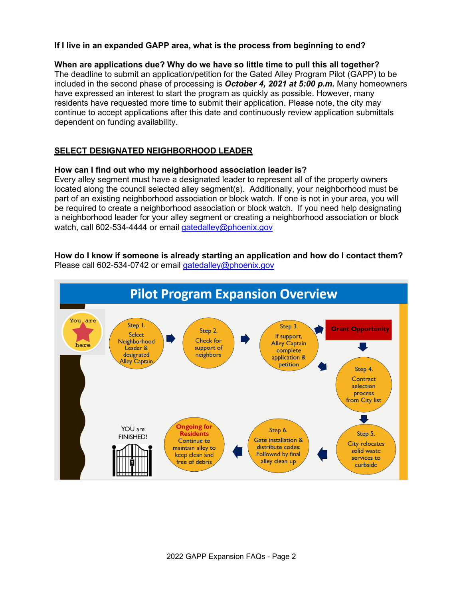## **If I live in an expanded GAPP area, what is the process from beginning to end?**

### **When are applications due? Why do we have so little time to pull this all together?**

The deadline to submit an application/petition for the Gated Alley Program Pilot (GAPP) to be included in the second phase of processing is *October 4, 2021 at 5:00 p.m.* Many homeowners have expressed an interest to start the program as quickly as possible. However, many residents have requested more time to submit their application. Please note, the city may continue to accept applications after this date and continuously review application submittals dependent on funding availability.

### **SELECT DESIGNATED NEIGHBORHOOD LEADER**

#### **How can I find out who my neighborhood association leader is?**

Every alley segment must have a designated leader to represent all of the property owners located along the council selected alley segment(s). Additionally, your neighborhood must be part of an existing neighborhood association or block watch. If one is not in your area, you will be required to create a neighborhood association or block watch. If you need help designating a neighborhood leader for your alley segment or creating a neighborhood association or block watch, call 602-534-4444 or email [gatedalley@phoenix.gov](mailto:gatedalley@phoenix.gov)

### **How do I know if someone is already starting an application and how do I contact them?** Please call 602-534-0742 or email [gatedalley@phoenix.gov](mailto:gatedalley@phoenix.gov)

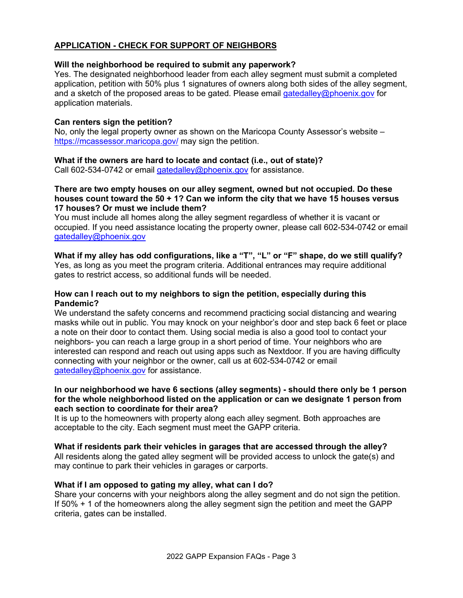# **APPLICATION - CHECK FOR SUPPORT OF NEIGHBORS**

### **Will the neighborhood be required to submit any paperwork?**

Yes. The designated neighborhood leader from each alley segment must submit a completed application, petition with 50% plus 1 signatures of owners along both sides of the alley segment, and a sketch of the proposed areas to be gated. Please email [gatedalley@phoenix.gov](mailto:gatedalley@phoenix.gov) for application materials.

### **Can renters sign the petition?**

No, only the legal property owner as shown on the Maricopa County Assessor's website – <https://mcassessor.maricopa.gov/> may sign the petition.

### **What if the owners are hard to locate and contact (i.e., out of state)?**

Call 602-534-0742 or email [gatedalley@phoenix.gov](mailto:gatedalley@phoenix.gov) for assistance.

### **There are two empty houses on our alley segment, owned but not occupied. Do these houses count toward the 50 + 1? Can we inform the city that we have 15 houses versus 17 houses? Or must we include them?**

You must include all homes along the alley segment regardless of whether it is vacant or occupied. If you need assistance locating the property owner, please call 602-534-0742 or email [gatedalley@phoenix.gov](mailto:gatedalley@phoenix.gov)

**What if my alley has odd configurations, like a "T", "L" or "F" shape, do we still qualify?** Yes, as long as you meet the program criteria. Additional entrances may require additional gates to restrict access, so additional funds will be needed.

### **How can I reach out to my neighbors to sign the petition, especially during this Pandemic?**

We understand the safety concerns and recommend practicing social distancing and wearing masks while out in public. You may knock on your neighbor's door and step back 6 feet or place a note on their door to contact them. Using social media is also a good tool to contact your neighbors- you can reach a large group in a short period of time. Your neighbors who are interested can respond and reach out using apps such as Nextdoor. If you are having difficulty connecting with your neighbor or the owner, call us at 602-534-0742 or email [gatedalley@phoenix.gov](mailto:gatedalley@phoenix.gov) for assistance.

### **In our neighborhood we have 6 sections (alley segments) - should there only be 1 person for the whole neighborhood listed on the application or can we designate 1 person from each section to coordinate for their area?**

It is up to the homeowners with property along each alley segment. Both approaches are acceptable to the city. Each segment must meet the GAPP criteria.

### **What if residents park their vehicles in garages that are accessed through the alley?**

All residents along the gated alley segment will be provided access to unlock the gate(s) and may continue to park their vehicles in garages or carports.

## **What if I am opposed to gating my alley, what can I do?**

Share your concerns with your neighbors along the alley segment and do not sign the petition. If 50% + 1 of the homeowners along the alley segment sign the petition and meet the GAPP criteria, gates can be installed.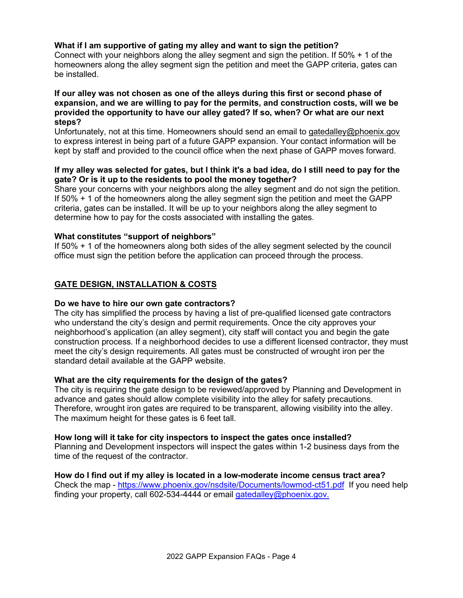## **What if I am supportive of gating my alley and want to sign the petition?**

Connect with your neighbors along the alley segment and sign the petition. If 50% + 1 of the homeowners along the alley segment sign the petition and meet the GAPP criteria, gates can be installed.

### **If our alley was not chosen as one of the alleys during this first or second phase of expansion, and we are willing to pay for the permits, and construction costs, will we be provided the opportunity to have our alley gated? If so, when? Or what are our next steps?**

Unfortunately, not at this time. Homeowners should send an email to [gatedalley@phoenix.gov](mailto:gatedalley@phoenix.gov) to express interest in being part of a future GAPP expansion. Your contact information will be kept by staff and provided to the council office when the next phase of GAPP moves forward.

## **If my alley was selected for gates, but I think it's a bad idea, do I still need to pay for the gate? Or is it up to the residents to pool the money together?**

Share your concerns with your neighbors along the alley segment and do not sign the petition. If 50% + 1 of the homeowners along the alley segment sign the petition and meet the GAPP criteria, gates can be installed. It will be up to your neighbors along the alley segment to determine how to pay for the costs associated with installing the gates.

## **What constitutes "support of neighbors"**

If 50% + 1 of the homeowners along both sides of the alley segment selected by the council office must sign the petition before the application can proceed through the process.

## **GATE DESIGN, INSTALLATION & COSTS**

### **Do we have to hire our own gate contractors?**

The city has simplified the process by having a list of pre-qualified licensed gate contractors who understand the city's design and permit requirements. Once the city approves your neighborhood's application (an alley segment), city staff will contact you and begin the gate construction process. If a neighborhood decides to use a different licensed contractor, they must meet the city's design requirements. All gates must be constructed of wrought iron per the standard detail available at the GAPP website.

### **What are the city requirements for the design of the gates?**

The city is requiring the gate design to be reviewed/approved by Planning and Development in advance and gates should allow complete visibility into the alley for safety precautions. Therefore, wrought iron gates are required to be transparent, allowing visibility into the alley. The maximum height for these gates is 6 feet tall.

### **How long will it take for city inspectors to inspect the gates once installed?**

Planning and Development inspectors will inspect the gates within 1-2 business days from the time of the request of the contractor.

### **How do I find out if my alley is located in a low-moderate income census tract area?**

Check the map -<https://www.phoenix.gov/nsdsite/Documents/lowmod-ct51.pdf>If you need help finding your property, call 602-534-4444 or email [gatedalley@phoenix.gov.](mailto:gatedalley@phoenix.gov)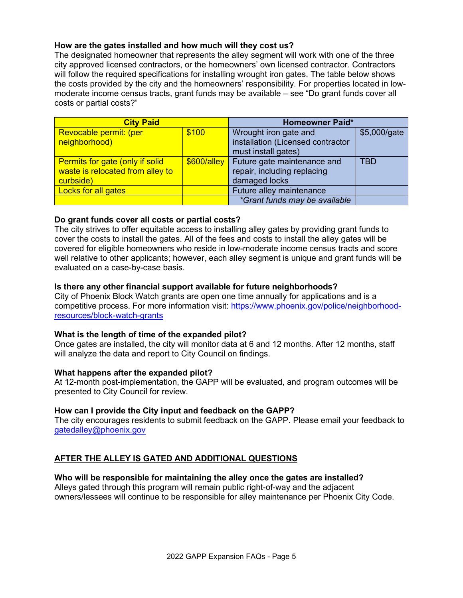## **How are the gates installed and how much will they cost us?**

The designated homeowner that represents the alley segment will work with one of the three city approved licensed contractors, or the homeowners' own licensed contractor. Contractors will follow the required specifications for installing wrought iron gates. The table below shows the costs provided by the city and the homeowners' responsibility. For properties located in lowmoderate income census tracts, grant funds may be available – see "Do grant funds cover all costs or partial costs?"

| <b>City Paid</b>                 |               | <b>Homeowner Paid*</b>            |              |
|----------------------------------|---------------|-----------------------------------|--------------|
| Revocable permit: (per           | \$100         | Wrought iron gate and             | \$5,000/gate |
| neighborhood)                    |               | installation (Licensed contractor |              |
|                                  |               | must install gates)               |              |
| Permits for gate (only if solid  | $$600/$ alley | Future gate maintenance and       | <b>TRD</b>   |
| waste is relocated from alley to |               | repair, including replacing       |              |
| curbside)                        |               | damaged locks                     |              |
| Locks for all gates              |               | Future alley maintenance          |              |
|                                  |               | *Grant funds may be available     |              |

## **Do grant funds cover all costs or partial costs?**

The city strives to offer equitable access to installing alley gates by providing grant funds to cover the costs to install the gates. All of the fees and costs to install the alley gates will be covered for eligible homeowners who reside in low-moderate income census tracts and score well relative to other applicants; however, each alley segment is unique and grant funds will be evaluated on a case-by-case basis.

### **Is there any other financial support available for future neighborhoods?**

City of Phoenix Block Watch grants are open one time annually for applications and is a competitive process. For more information visit: [https://www.phoenix.gov/police/neighborhood](https://www.phoenix.gov/police/neighborhood-resources/block-watch-grants)[resources/block-watch-grants](https://www.phoenix.gov/police/neighborhood-resources/block-watch-grants)

### **What is the length of time of the expanded pilot?**

Once gates are installed, the city will monitor data at 6 and 12 months. After 12 months, staff will analyze the data and report to City Council on findings.

### **What happens after the expanded pilot?**

At 12-month post-implementation, the GAPP will be evaluated, and program outcomes will be presented to City Council for review.

### **How can I provide the City input and feedback on the GAPP?**

The city encourages residents to submit feedback on the GAPP. Please email your feedback to [gatedalley@phoenix.gov](mailto:gatedalley@phoenix.gov)

## **AFTER THE ALLEY IS GATED AND ADDITIONAL QUESTIONS**

### **Who will be responsible for maintaining the alley once the gates are installed?**

Alleys gated through this program will remain public right-of-way and the adjacent owners/lessees will continue to be responsible for alley maintenance per Phoenix City Code.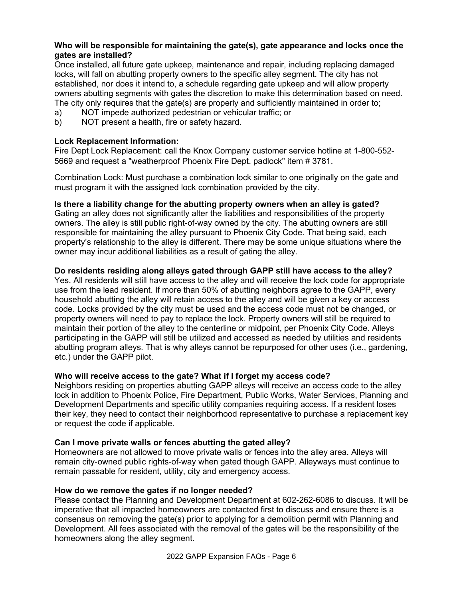## **Who will be responsible for maintaining the gate(s), gate appearance and locks once the gates are installed?**

Once installed, all future gate upkeep, maintenance and repair, including replacing damaged locks, will fall on abutting property owners to the specific alley segment. The city has not established, nor does it intend to, a schedule regarding gate upkeep and will allow property owners abutting segments with gates the discretion to make this determination based on need. The city only requires that the gate(s) are properly and sufficiently maintained in order to;

- a) NOT impede authorized pedestrian or vehicular traffic; or
- b) NOT present a health, fire or safety hazard.

## **Lock Replacement Information:**

Fire Dept Lock Replacement: call the Knox Company customer service hotline at 1-800-552- 5669 and request a "weatherproof Phoenix Fire Dept. padlock" item # 3781.

Combination Lock: Must purchase a combination lock similar to one originally on the gate and must program it with the assigned lock combination provided by the city.

## **Is there a liability change for the abutting property owners when an alley is gated?**

Gating an alley does not significantly alter the liabilities and responsibilities of the property owners. The alley is still public right-of-way owned by the city. The abutting owners are still responsible for maintaining the alley pursuant to Phoenix City Code. That being said, each property's relationship to the alley is different. There may be some unique situations where the owner may incur additional liabilities as a result of gating the alley.

## **Do residents residing along alleys gated through GAPP still have access to the alley?**

Yes. All residents will still have access to the alley and will receive the lock code for appropriate use from the lead resident. If more than 50% of abutting neighbors agree to the GAPP, every household abutting the alley will retain access to the alley and will be given a key or access code. Locks provided by the city must be used and the access code must not be changed, or property owners will need to pay to replace the lock. Property owners will still be required to maintain their portion of the alley to the centerline or midpoint, per Phoenix City Code. Alleys participating in the GAPP will still be utilized and accessed as needed by utilities and residents abutting program alleys. That is why alleys cannot be repurposed for other uses (i.e., gardening, etc.) under the GAPP pilot.

## **Who will receive access to the gate? What if I forget my access code?**

Neighbors residing on properties abutting GAPP alleys will receive an access code to the alley lock in addition to Phoenix Police, Fire Department, Public Works, Water Services, Planning and Development Departments and specific utility companies requiring access. If a resident loses their key, they need to contact their neighborhood representative to purchase a replacement key or request the code if applicable.

## **Can I move private walls or fences abutting the gated alley?**

Homeowners are not allowed to move private walls or fences into the alley area. Alleys will remain city-owned public rights-of-way when gated though GAPP. Alleyways must continue to remain passable for resident, utility, city and emergency access.

## **How do we remove the gates if no longer needed?**

Please contact the Planning and Development Department at 602-262-6086 to discuss. It will be imperative that all impacted homeowners are contacted first to discuss and ensure there is a consensus on removing the gate(s) prior to applying for a demolition permit with Planning and Development. All fees associated with the removal of the gates will be the responsibility of the homeowners along the alley segment.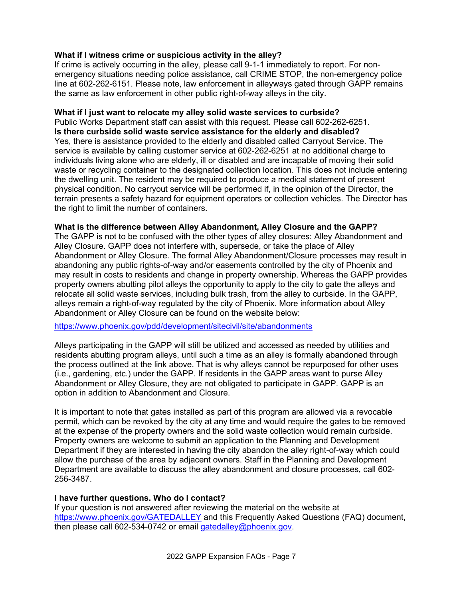## **What if I witness crime or suspicious activity in the alley?**

If crime is actively occurring in the alley, please call 9-1-1 immediately to report. For nonemergency situations needing police assistance, call CRIME STOP, the non-emergency police line at 602-262-6151. Please note, law enforcement in alleyways gated through GAPP remains the same as law enforcement in other public right-of-way alleys in the city.

### **What if I just want to relocate my alley solid waste services to curbside?**

Public Works Department staff can assist with this request. Please call 602-262-6251. **Is there curbside solid waste service assistance for the elderly and disabled?** Yes, there is assistance provided to the elderly and disabled called Carryout Service. The service is available by calling customer service at 602-262-6251 at no additional charge to individuals living alone who are elderly, ill or disabled and are incapable of moving their solid waste or recycling container to the designated collection location. This does not include entering the dwelling unit. The resident may be required to produce a medical statement of present physical condition. No carryout service will be performed if, in the opinion of the Director, the terrain presents a safety hazard for equipment operators or collection vehicles. The Director has the right to limit the number of containers.

#### **What is the difference between Alley Abandonment, Alley Closure and the GAPP?**

The GAPP is not to be confused with the other types of alley closures: Alley Abandonment and Alley Closure. GAPP does not interfere with, supersede, or take the place of Alley Abandonment or Alley Closure. The formal Alley Abandonment/Closure processes may result in abandoning any public rights-of-way and/or easements controlled by the city of Phoenix and may result in costs to residents and change in property ownership. Whereas the GAPP provides property owners abutting pilot alleys the opportunity to apply to the city to gate the alleys and relocate all solid waste services, including bulk trash, from the alley to curbside. In the GAPP, alleys remain a right-of-way regulated by the city of Phoenix. More information about Alley Abandonment or Alley Closure can be found on the website below:

<https://www.phoenix.gov/pdd/development/sitecivil/site/abandonments>

Alleys participating in the GAPP will still be utilized and accessed as needed by utilities and residents abutting program alleys, until such a time as an alley is formally abandoned through the process outlined at the link above. That is why alleys cannot be repurposed for other uses (i.e., gardening, etc.) under the GAPP. If residents in the GAPP areas want to purse Alley Abandonment or Alley Closure, they are not obligated to participate in GAPP. GAPP is an option in addition to Abandonment and Closure.

It is important to note that gates installed as part of this program are allowed via a revocable permit, which can be revoked by the city at any time and would require the gates to be removed at the expense of the property owners and the solid waste collection would remain curbside. Property owners are welcome to submit an application to the Planning and Development Department if they are interested in having the city abandon the alley right-of-way which could allow the purchase of the area by adjacent owners. Staff in the Planning and Development Department are available to discuss the alley abandonment and closure processes, call 602- 256-3487.

### **I have further questions. Who do I contact?**

If your question is not answered after reviewing the material on the website at <https://www.phoenix.gov/GATEDALLEY> and this Frequently Asked Questions (FAQ) document, then please call 602-534-0742 or email [gatedalley@phoenix.gov.](mailto:gatedalley@phoenix.gov)